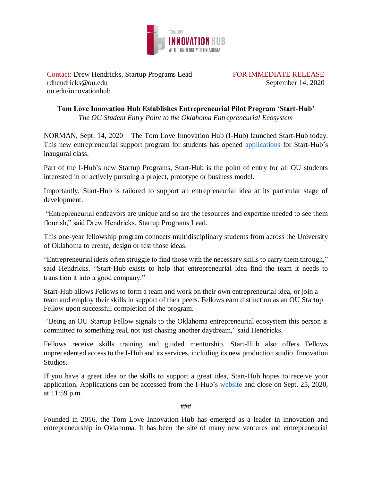

Contact: Drew Hendricks, Startup Programs Lead FOR IMMEDIATE RELEASE rdhendricks@ou.edu September 14, 2020 ou.edu/innovationhub

**Tom Love Innovation Hub Establishes Entrepreneurial Pilot Program 'Start-Hub'** *The OU Student Entry Point to the Oklahoma Entrepreneurial Ecosystem*

NORMAN, Sept. 14, 2020 – The Tom Love Innovation Hub (I-Hub) launched Start-Hub today. This new entrepreneurial support program for students has opened [applications](https://www.ou.edu/innovationhub/campus-programs/startups/start-hub) for Start-Hub's inaugural class.

Part of the I-Hub's new Startup Programs, Start-Hub is the point of entry for all OU students interested in or actively pursuing a project, prototype or business model.

Importantly, Start-Hub is tailored to support an entrepreneurial idea at its particular stage of development.

"Entrepreneurial endeavors are unique and so are the resources and expertise needed to see them flourish," said Drew Hendricks, Startup Programs Lead.

This one-year fellowship program connects multidisciplinary students from across the University of Oklahoma to create, design or test those ideas.

"Entrepreneurial ideas often struggle to find those with the necessary skills to carry them through," said Hendricks. "Start-Hub exists to help that entrepreneurial idea find the team it needs to transition it into a good company."

Start-Hub allows Fellows to form a team and work on their own entrepreneurial idea, or join a team and employ their skills in support of their peers. Fellows earn distinction as an OU Startup Fellow upon successful completion of the program.

"Being an OU Startup Fellow signals to the Oklahoma entrepreneurial ecosystem this person is committed to something real, not just chasing another daydream," said Hendricks.

Fellows receive skills training and guided mentorship. Start-Hub also offers Fellows unprecedented access to the I-Hub and its services, including its new production studio, Innovation Studios.

If you have a great idea or the skills to support a great idea, Start-Hub hopes to receive your application. Applications can be accessed from the I-Hub's [website](https://www.ou.edu/innovationhub/campus-programs/startups/start-hub) and close on Sept. 25, 2020, at 11:59 p.m.

###

Founded in 2016, the Tom Love Innovation Hub has emerged as a leader in innovation and entrepreneurship in Oklahoma. It has been the site of many new ventures and entrepreneurial